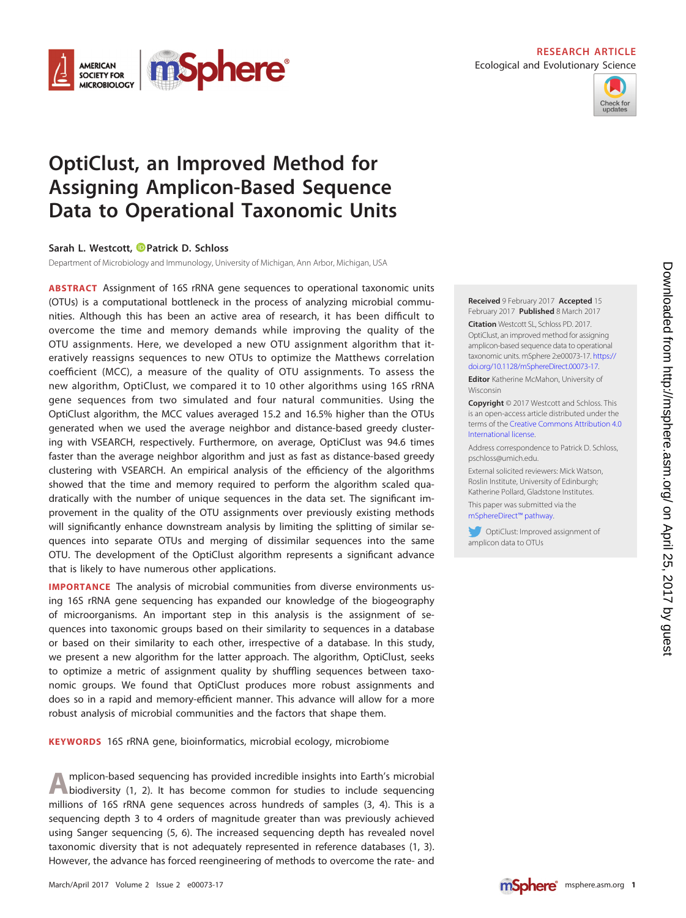

### **RESEARCH ARTICLE** Ecological and Evolutionary Science



# **OptiClust, an Improved Method for Assigning Amplicon-Based Sequence Data to Operational Taxonomic Units**

# **Sarah L. Westcott, [Patrick D. Schloss](http://orcid.org/0000-0002-6935-4275)**

Department of Microbiology and Immunology, University of Michigan, Ann Arbor, Michigan, USA

**ABSTRACT** Assignment of 16S rRNA gene sequences to operational taxonomic units (OTUs) is a computational bottleneck in the process of analyzing microbial communities. Although this has been an active area of research, it has been difficult to overcome the time and memory demands while improving the quality of the OTU assignments. Here, we developed a new OTU assignment algorithm that iteratively reassigns sequences to new OTUs to optimize the Matthews correlation coefficient (MCC), a measure of the quality of OTU assignments. To assess the new algorithm, OptiClust, we compared it to 10 other algorithms using 16S rRNA gene sequences from two simulated and four natural communities. Using the OptiClust algorithm, the MCC values averaged 15.2 and 16.5% higher than the OTUs generated when we used the average neighbor and distance-based greedy clustering with VSEARCH, respectively. Furthermore, on average, OptiClust was 94.6 times faster than the average neighbor algorithm and just as fast as distance-based greedy clustering with VSEARCH. An empirical analysis of the efficiency of the algorithms showed that the time and memory required to perform the algorithm scaled quadratically with the number of unique sequences in the data set. The significant improvement in the quality of the OTU assignments over previously existing methods will significantly enhance downstream analysis by limiting the splitting of similar sequences into separate OTUs and merging of dissimilar sequences into the same OTU. The development of the OptiClust algorithm represents a significant advance that is likely to have numerous other applications.

**IMPORTANCE** The analysis of microbial communities from diverse environments using 16S rRNA gene sequencing has expanded our knowledge of the biogeography of microorganisms. An important step in this analysis is the assignment of sequences into taxonomic groups based on their similarity to sequences in a database or based on their similarity to each other, irrespective of a database. In this study, we present a new algorithm for the latter approach. The algorithm, OptiClust, seeks to optimize a metric of assignment quality by shuffling sequences between taxonomic groups. We found that OptiClust produces more robust assignments and does so in a rapid and memory-efficient manner. This advance will allow for a more robust analysis of microbial communities and the factors that shape them.

**KEYWORDS** 16S rRNA gene, bioinformatics, microbial ecology, microbiome

A mplicon-based sequencing has provided incredible insights into Earth's microbial biodiversity [\(1,](#page-9-0) [2\)](#page-9-1). It has become common for studies to include sequencing millions of 16S rRNA gene sequences across hundreds of samples [\(3,](#page-9-2) [4\)](#page-9-3). This is a sequencing depth 3 to 4 orders of magnitude greater than was previously achieved using Sanger sequencing [\(5,](#page-9-4) [6\)](#page-9-5). The increased sequencing depth has revealed novel taxonomic diversity that is not adequately represented in reference databases [\(1,](#page-9-0) [3\)](#page-9-2). However, the advance has forced reengineering of methods to overcome the rate- and

# **Received** 9 February 2017 **Accepted** 15

February 2017 **Published** 8 March 2017 **Citation** Westcott SL, Schloss PD. 2017. OptiClust, an improved method for assigning amplicon-based sequence data to operational taxonomic units. mSphere 2:e00073-17. [https://](https://doi.org/10.1128/mSphereDirect.00073-17) [doi.org/10.1128/mSphereDirect.00073-17.](https://doi.org/10.1128/mSphereDirect.00073-17)

**Editor** Katherine McMahon, University of Wisconsin

**Copyright** © 2017 Westcott and Schloss. This is an open-access article distributed under the terms of the [Creative Commons Attribution 4.0](http://creativecommons.org/licenses/by/4.0/) [International](http://creativecommons.org/licenses/by/4.0/) license.

Address correspondence to Patrick D. Schloss, [pschloss@umich.edu.](mailto:pschloss@umich.edu)

External solicited reviewers: Mick Watson, Roslin Institute, University of Edinburgh; Katherine Pollard, Gladstone Institutes.

This paper was submitted via the [mSphereDirect™ pathway.](http://msphere.asm.org/content/faq)

OptiClust: Improved assignment of amplicon data to OTUs

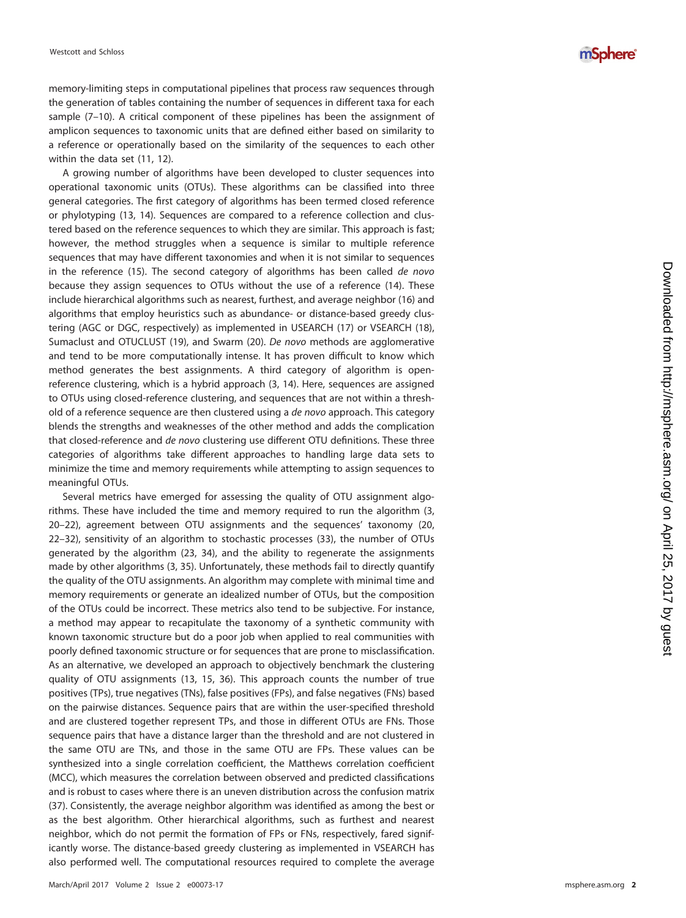memory-limiting steps in computational pipelines that process raw sequences through the generation of tables containing the number of sequences in different taxa for each sample [\(7](#page-9-6)[–](#page-9-7)[10\)](#page-9-8). A critical component of these pipelines has been the assignment of amplicon sequences to taxonomic units that are defined either based on similarity to a reference or operationally based on the similarity of the sequences to each other within the data set [\(11](#page-9-9) , [12\)](#page-9-10).

A growing number of algorithms have been developed to cluster sequences into operational taxonomic units (OTUs). These algorithms can be classified into three general categories. The first category of algorithms has been termed closed reference or phylotyping [\(13](#page-9-11) , [14\)](#page-9-12). Sequences are compared to a reference collection and clustered based on the reference sequences to which they are similar. This approach is fast; however, the method struggles when a sequence is similar to multiple reference sequences that may have different taxonomies and when it is not similar to sequences in the reference [\(15\)](#page-9-13). The second category of algorithms has been called de novo because they assign sequences to OTUs without the use of a reference [\(14\)](#page-9-12). These include hierarchical algorithms such as nearest, furthest, and average neighbor [\(16\)](#page-9-14) and algorithms that employ heuristics such as abundance- or distance-based greedy clustering (AGC or DGC, respectively) as implemented in USEARCH [\(17\)](#page-9-15) or VSEARCH [\(18\)](#page-9-16), Sumaclust and OTUCLUST [\(19\)](#page-9-17), and Swarm [\(20\)](#page-9-18). De novo methods are agglomerative and tend to be more computationally intense. It has proven difficult to know which method generates the best assignments. A third category of algorithm is openreference clustering, which is a hybrid approach [\(3,](#page-9-2) [14\)](#page-9-12). Here, sequences are assigned to OTUs using closed-reference clustering, and sequences that are not within a threshold of a reference sequence are then clustered using a de novo approach. This category blends the strengths and weaknesses of the other method and adds the complication that closed-reference and de novo clustering use different OTU definitions. These three categories of algorithms take different approaches to handling large data sets to minimize the time and memory requirements while attempting to assign sequences to meaningful OTUs.

Several metrics have emerged for assessing the quality of OTU assignment algorithms. These have included the time and memory required to run the algorithm [\(3,](#page-9-2) [20](#page-9-18)[–](#page-9-19)[22\)](#page-9-20), agreement between OTU assignments and the sequences' taxonomy [\(20](#page-9-18) , [22](#page-9-20)[–](#page-10-0)[32\)](#page-10-1), sensitivity of an algorithm to stochastic processes [\(33\)](#page-10-2), the number of OTUs generated by the algorithm [\(23](#page-9-21) , [34\)](#page-10-3), and the ability to regenerate the assignments made by other algorithms ( [3](#page-9-2) , [35\)](#page-10-4). Unfortunately, these methods fail to directly quantify the quality of the OTU assignments. An algorithm may complete with minimal time and memory requirements or generate an idealized number of OTUs, but the composition of the OTUs could be incorrect. These metrics also tend to be subjective. For instance, a method may appear to recapitulate the taxonomy of a synthetic community with known taxonomic structure but do a poor job when applied to real communities with poorly defined taxonomic structure or for sequences that are prone to misclassification. As an alternative, we developed an approach to objectively benchmark the clustering quality of OTU assignments [\(13](#page-9-11), [15](#page-9-13), [36\)](#page-10-5). This approach counts the number of true positives (TPs), true negatives (TNs), false positives (FPs), and false negatives (FNs) based on the pairwise distances. Sequence pairs that are within the user-specified threshold and are clustered together represent TPs, and those in different OTUs are FNs. Those sequence pairs that have a distance larger than the threshold and are not clustered in the same OTU are TNs, and those in the same OTU are FPs. These values can be synthesized into a single correlation coefficient, the Matthews correlation coefficient (MCC), which measures the correlation between observed and predicted classifications and is robust to cases where there is an uneven distribution across the confusion matrix [\(37\)](#page-10-6). Consistently, the average neighbor algorithm was identified as among the best or as the best algorithm. Other hierarchical algorithms, such as furthest and nearest neighbor, which do not permit the formation of FPs or FNs, respectively, fared significantly worse. The distance-based greedy clustering as implemented in VSEARCH has also performed well. The computational resources required to complete the average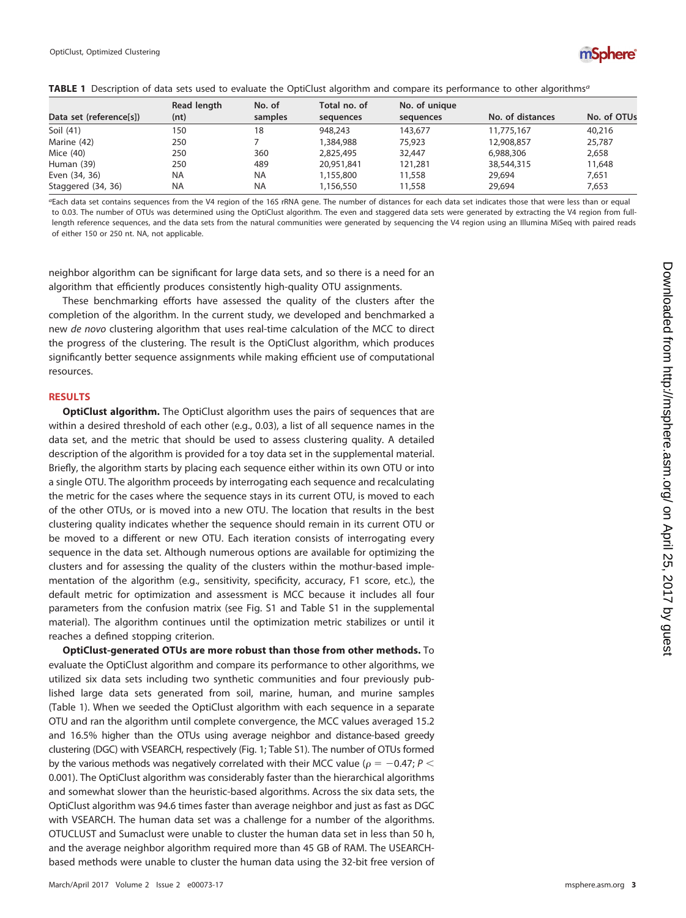

<span id="page-2-0"></span>

|  |  |  |  | <b>TABLE 1</b> Description of data sets used to evaluate the OptiClust algorithm and compare its performance to other algorithms <sup>a</sup> |
|--|--|--|--|-----------------------------------------------------------------------------------------------------------------------------------------------|
|  |  |  |  |                                                                                                                                               |

|                         | Read length | No. of    | Total no. of | No. of unique |                  |             |
|-------------------------|-------------|-----------|--------------|---------------|------------------|-------------|
| Data set (reference[s]) | (nt)        | samples   | sequences    | sequences     | No. of distances | No. of OTUs |
| Soil (41)               | 150         | 18        | 948,243      | 143,677       | 11,775,167       | 40,216      |
| Marine (42)             | 250         |           | 1,384,988    | 75,923        | 12,908,857       | 25,787      |
| Mice (40)               | 250         | 360       | 2,825,495    | 32,447        | 6,988,306        | 2,658       |
| Human (39)              | 250         | 489       | 20,951,841   | 121,281       | 38,544,315       | 11,648      |
| Even (34, 36)           | <b>NA</b>   | <b>NA</b> | 1,155,800    | 11,558        | 29,694           | 7.651       |
| Staggered (34, 36)      | <b>NA</b>   | <b>NA</b> | 1,156,550    | 11,558        | 29,694           | 7.653       |

aEach data set contains sequences from the V4 region of the 16S rRNA gene. The number of distances for each data set indicates those that were less than or equal to 0.03. The number of OTUs was determined using the OptiClust algorithm. The even and staggered data sets were generated by extracting the V4 region from fulllength reference sequences, and the data sets from the natural communities were generated by sequencing the V4 region using an Illumina MiSeq with paired reads of either 150 or 250 nt. NA, not applicable.

neighbor algorithm can be significant for large data sets, and so there is a need for an algorithm that efficiently produces consistently high-quality OTU assignments.

These benchmarking efforts have assessed the quality of the clusters after the completion of the algorithm. In the current study, we developed and benchmarked a new de novo clustering algorithm that uses real-time calculation of the MCC to direct the progress of the clustering. The result is the OptiClust algorithm, which produces significantly better sequence assignments while making efficient use of computational resources.

#### **RESULTS**

**OptiClust algorithm.** The OptiClust algorithm uses the pairs of sequences that are within a desired threshold of each other (e.g., 0.03), a list of all sequence names in the data set, and the metric that should be used to assess clustering quality. A detailed description of the algorithm is provided for a toy data set in the supplemental material. Briefly, the algorithm starts by placing each sequence either within its own OTU or into a single OTU. The algorithm proceeds by interrogating each sequence and recalculating the metric for the cases where the sequence stays in its current OTU, is moved to each of the other OTUs, or is moved into a new OTU. The location that results in the best clustering quality indicates whether the sequence should remain in its current OTU or be moved to a different or new OTU. Each iteration consists of interrogating every sequence in the data set. Although numerous options are available for optimizing the clusters and for assessing the quality of the clusters within the mothur-based implementation of the algorithm (e.g., sensitivity, specificity, accuracy, F1 score, etc.), the default metric for optimization and assessment is MCC because it includes all four parameters from the confusion matrix (see Fig. S1 and Table S1 in the supplemental material). The algorithm continues until the optimization metric stabilizes or until it reaches a defined stopping criterion.

**OptiClust-generated OTUs are more robust than those from other methods.** To evaluate the OptiClust algorithm and compare its performance to other algorithms, we utilized six data sets including two synthetic communities and four previously published large data sets generated from soil, marine, human, and murine samples [\(Table 1\)](#page-2-0). When we seeded the OptiClust algorithm with each sequence in a separate OTU and ran the algorithm until complete convergence, the MCC values averaged 15.2 and 16.5% higher than the OTUs using average neighbor and distance-based greedy clustering (DGC) with VSEARCH, respectively [\(Fig. 1;](#page-3-0) Table S1). The number of OTUs formed by the various methods was negatively correlated with their MCC value ( $\rho = -0.47; P <$ 0.001). The OptiClust algorithm was considerably faster than the hierarchical algorithms and somewhat slower than the heuristic-based algorithms. Across the six data sets, the OptiClust algorithm was 94.6 times faster than average neighbor and just as fast as DGC with VSEARCH. The human data set was a challenge for a number of the algorithms. OTUCLUST and Sumaclust were unable to cluster the human data set in less than 50 h, and the average neighbor algorithm required more than 45 GB of RAM. The USEARCHbased methods were unable to cluster the human data using the 32-bit free version of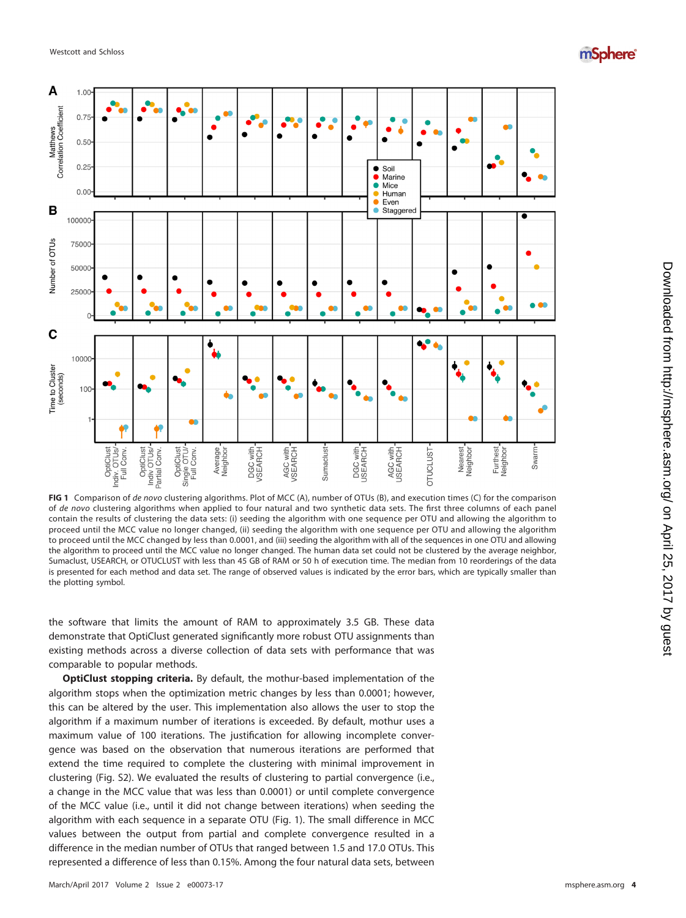



<span id="page-3-0"></span>**FIG 1** Comparison of de novo clustering algorithms. Plot of MCC (A), number of OTUs (B), and execution times (C) for the comparison of de novo clustering algorithms when applied to four natural and two synthetic data sets. The first three columns of each panel contain the results of clustering the data sets: (i) seeding the algorithm with one sequence per OTU and allowing the algorithm to proceed until the MCC value no longer changed, (ii) seeding the algorithm with one sequence per OTU and allowing the algorithm to proceed until the MCC changed by less than 0.0001, and (iii) seeding the algorithm with all of the sequences in one OTU and allowing the algorithm to proceed until the MCC value no longer changed. The human data set could not be clustered by the average neighbor, Sumaclust, USEARCH, or OTUCLUST with less than 45 GB of RAM or 50 h of execution time. The median from 10 reorderings of the data is presented for each method and data set. The range of observed values is indicated by the error bars, which are typically smaller than the plotting symbol.

the software that limits the amount of RAM to approximately 3.5 GB. These data demonstrate that OptiClust generated significantly more robust OTU assignments than existing methods across a diverse collection of data sets with performance that was comparable to popular methods.

**OptiClust stopping criteria.** By default, the mothur-based implementation of the algorithm stops when the optimization metric changes by less than 0.0001; however, this can be altered by the user. This implementation also allows the user to stop the algorithm if a maximum number of iterations is exceeded. By default, mothur uses a maximum value of 100 iterations. The justification for allowing incomplete convergence was based on the observation that numerous iterations are performed that extend the time required to complete the clustering with minimal improvement in clustering (Fig. S2). We evaluated the results of clustering to partial convergence (i.e., a change in the MCC value that was less than 0.0001) or until complete convergence of the MCC value (i.e., until it did not change between iterations) when seeding the algorithm with each sequence in a separate OTU [\(Fig. 1\)](#page-3-0). The small difference in MCC values between the output from partial and complete convergence resulted in a difference in the median number of OTUs that ranged between 1.5 and 17.0 OTUs. This represented a difference of less than 0.15%. Among the four natural data sets, between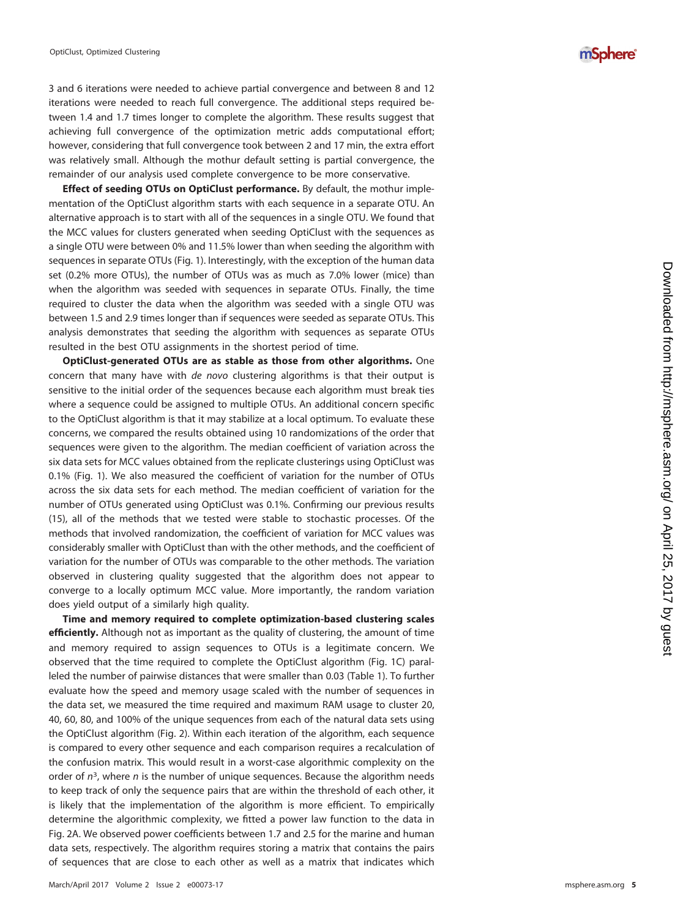3 and 6 iterations were needed to achieve partial convergence and between 8 and 12 iterations were needed to reach full convergence. The additional steps required between 1.4 and 1.7 times longer to complete the algorithm. These results suggest that achieving full convergence of the optimization metric adds computational effort; however, considering that full convergence took between 2 and 17 min, the extra effort was relatively small. Although the mothur default setting is partial convergence, the remainder of our analysis used complete convergence to be more conservative.

**Effect of seeding OTUs on OptiClust performance.** By default, the mothur implementation of the OptiClust algorithm starts with each sequence in a separate OTU. An alternative approach is to start with all of the sequences in a single OTU. We found that the MCC values for clusters generated when seeding OptiClust with the sequences as a single OTU were between 0% and 11.5% lower than when seeding the algorithm with sequences in separate OTUs [\(Fig. 1\)](#page-3-0). Interestingly, with the exception of the human data set (0.2% more OTUs), the number of OTUs was as much as 7.0% lower (mice) than when the algorithm was seeded with sequences in separate OTUs. Finally, the time required to cluster the data when the algorithm was seeded with a single OTU was between 1.5 and 2.9 times longer than if sequences were seeded as separate OTUs. This analysis demonstrates that seeding the algorithm with sequences as separate OTUs resulted in the best OTU assignments in the shortest period of time.

**OptiClust-generated OTUs are as stable as those from other algorithms.** One concern that many have with de novo clustering algorithms is that their output is sensitive to the initial order of the sequences because each algorithm must break ties where a sequence could be assigned to multiple OTUs. An additional concern specific to the OptiClust algorithm is that it may stabilize at a local optimum. To evaluate these concerns, we compared the results obtained using 10 randomizations of the order that sequences were given to the algorithm. The median coefficient of variation across the six data sets for MCC values obtained from the replicate clusterings using OptiClust was 0.1% [\(Fig. 1\)](#page-3-0). We also measured the coefficient of variation for the number of OTUs across the six data sets for each method. The median coefficient of variation for the number of OTUs generated using OptiClust was 0.1%. Confirming our previous results [\(15\)](#page-9-13), all of the methods that we tested were stable to stochastic processes. Of the methods that involved randomization, the coefficient of variation for MCC values was considerably smaller with OptiClust than with the other methods, and the coefficient of variation for the number of OTUs was comparable to the other methods. The variation observed in clustering quality suggested that the algorithm does not appear to converge to a locally optimum MCC value. More importantly, the random variation does yield output of a similarly high quality.

**Time and memory required to complete optimization-based clustering scales efficiently.** Although not as important as the quality of clustering, the amount of time and memory required to assign sequences to OTUs is a legitimate concern. We observed that the time required to complete the OptiClust algorithm [\(Fig. 1C\)](#page-3-0) paralleled the number of pairwise distances that were smaller than 0.03 [\(Table 1\)](#page-2-0). To further evaluate how the speed and memory usage scaled with the number of sequences in the data set, we measured the time required and maximum RAM usage to cluster 20, 40, 60, 80, and 100% of the unique sequences from each of the natural data sets using the OptiClust algorithm [\(Fig. 2\)](#page-5-0). Within each iteration of the algorithm, each sequence is compared to every other sequence and each comparison requires a recalculation of the confusion matrix. This would result in a worst-case algorithmic complexity on the order of  $n^3$ , where  $n$  is the number of unique sequences. Because the algorithm needs to keep track of only the sequence pairs that are within the threshold of each other, it is likely that the implementation of the algorithm is more efficient. To empirically determine the algorithmic complexity, we fitted a power law function to the data in [Fig. 2A.](#page-5-0) We observed power coefficients between 1.7 and 2.5 for the marine and human data sets, respectively. The algorithm requires storing a matrix that contains the pairs of sequences that are close to each other as well as a matrix that indicates which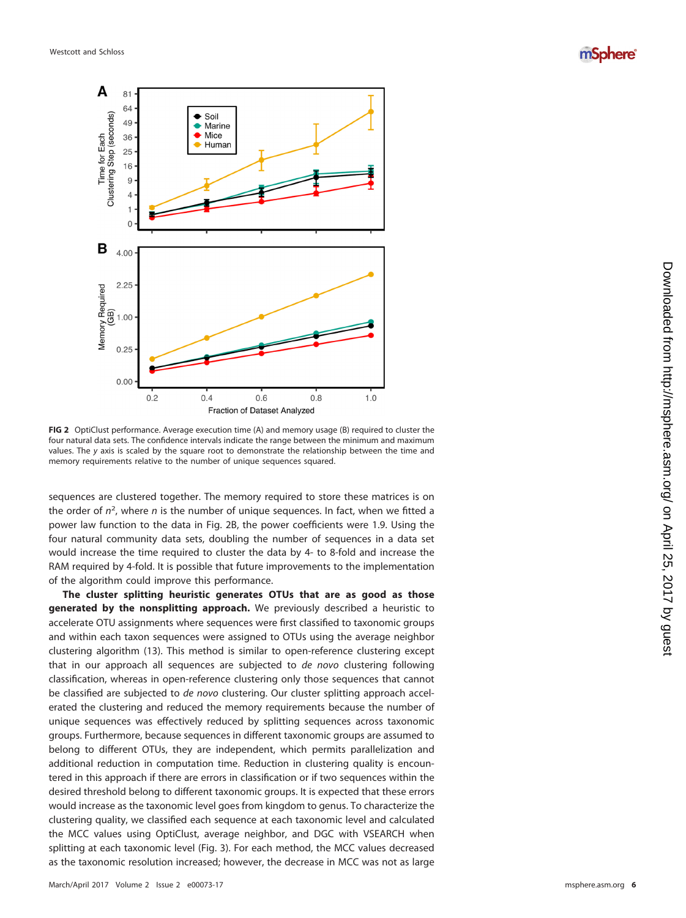mSphere®



<span id="page-5-0"></span>**FIG 2** OptiClust performance. Average execution time (A) and memory usage (B) required to cluster the four natural data sets. The confidence intervals indicate the range between the minimum and maximum values. The y axis is scaled by the square root to demonstrate the relationship between the time and memory requirements relative to the number of unique sequences squared.

sequences are clustered together. The memory required to store these matrices is on the order of  $n^2$ , where n is the number of unique sequences. In fact, when we fitted a power law function to the data in [Fig. 2B,](#page-5-0) the power coefficients were 1.9. Using the four natural community data sets, doubling the number of sequences in a data set would increase the time required to cluster the data by 4- to 8-fold and increase the RAM required by 4-fold. It is possible that future improvements to the implementation of the algorithm could improve this performance.

**The cluster splitting heuristic generates OTUs that are as good as those generated by the nonsplitting approach.** We previously described a heuristic to accelerate OTU assignments where sequences were first classified to taxonomic groups and within each taxon sequences were assigned to OTUs using the average neighbor clustering algorithm [\(13\)](#page-9-11). This method is similar to open-reference clustering except that in our approach all sequences are subjected to de novo clustering following classification, whereas in open-reference clustering only those sequences that cannot be classified are subjected to de novo clustering. Our cluster splitting approach accelerated the clustering and reduced the memory requirements because the number of unique sequences was effectively reduced by splitting sequences across taxonomic groups. Furthermore, because sequences in different taxonomic groups are assumed to belong to different OTUs, they are independent, which permits parallelization and additional reduction in computation time. Reduction in clustering quality is encountered in this approach if there are errors in classification or if two sequences within the desired threshold belong to different taxonomic groups. It is expected that these errors would increase as the taxonomic level goes from kingdom to genus. To characterize the clustering quality, we classified each sequence at each taxonomic level and calculated the MCC values using OptiClust, average neighbor, and DGC with VSEARCH when splitting at each taxonomic level [\(Fig. 3\)](#page-6-0). For each method, the MCC values decreased as the taxonomic resolution increased; however, the decrease in MCC was not as large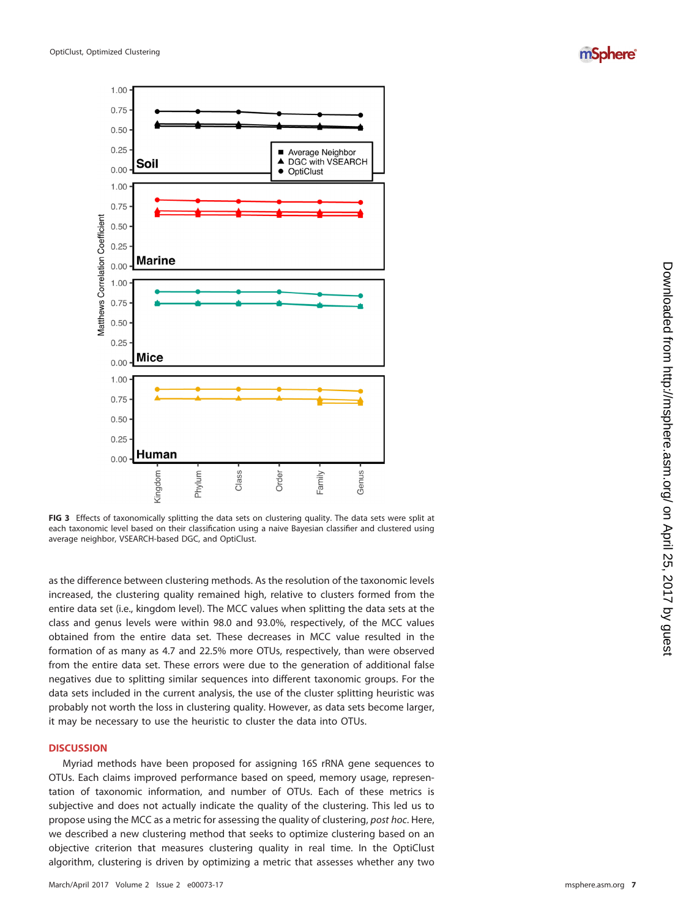



<span id="page-6-0"></span>**FIG 3** Effects of taxonomically splitting the data sets on clustering quality. The data sets were split at each taxonomic level based on their classification using a naive Bayesian classifier and clustered using average neighbor, VSEARCH-based DGC, and OptiClust.

as the difference between clustering methods. As the resolution of the taxonomic levels increased, the clustering quality remained high, relative to clusters formed from the entire data set (i.e., kingdom level). The MCC values when splitting the data sets at the class and genus levels were within 98.0 and 93.0%, respectively, of the MCC values obtained from the entire data set. These decreases in MCC value resulted in the formation of as many as 4.7 and 22.5% more OTUs, respectively, than were observed from the entire data set. These errors were due to the generation of additional false negatives due to splitting similar sequences into different taxonomic groups. For the data sets included in the current analysis, the use of the cluster splitting heuristic was probably not worth the loss in clustering quality. However, as data sets become larger, it may be necessary to use the heuristic to cluster the data into OTUs.

## **DISCUSSION**

Myriad methods have been proposed for assigning 16S rRNA gene sequences to OTUs. Each claims improved performance based on speed, memory usage, representation of taxonomic information, and number of OTUs. Each of these metrics is subjective and does not actually indicate the quality of the clustering. This led us to propose using the MCC as a metric for assessing the quality of clustering, post hoc. Here, we described a new clustering method that seeks to optimize clustering based on an objective criterion that measures clustering quality in real time. In the OptiClust algorithm, clustering is driven by optimizing a metric that assesses whether any two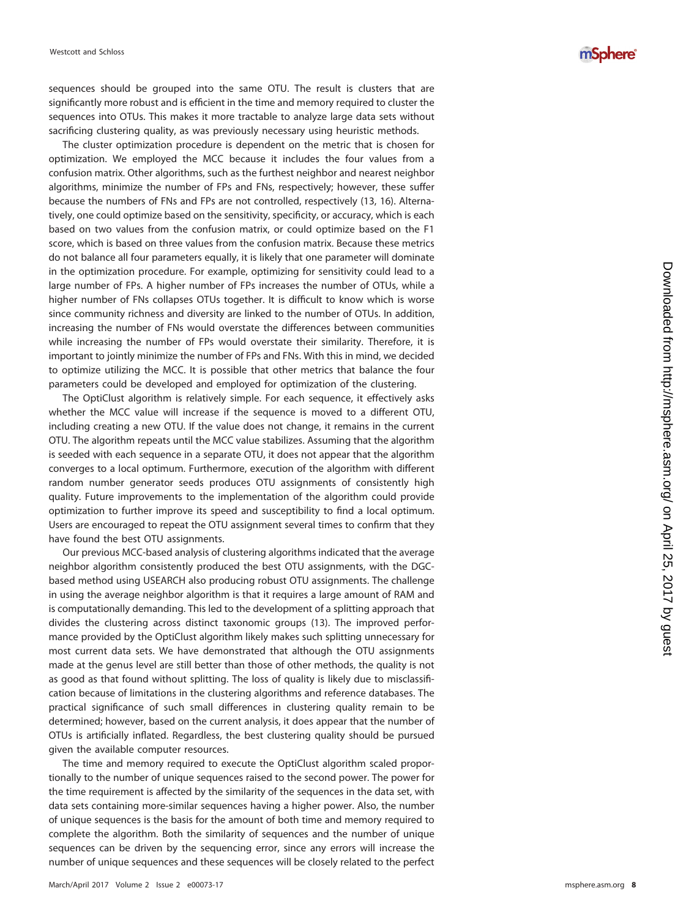mSphere®

sequences should be grouped into the same OTU. The result is clusters that are significantly more robust and is efficient in the time and memory required to cluster the sequences into OTUs. This makes it more tractable to analyze large data sets without sacrificing clustering quality, as was previously necessary using heuristic methods.

The cluster optimization procedure is dependent on the metric that is chosen for optimization. We employed the MCC because it includes the four values from a confusion matrix. Other algorithms, such as the furthest neighbor and nearest neighbor algorithms, minimize the number of FPs and FNs, respectively; however, these suffer because the numbers of FNs and FPs are not controlled, respectively [\(13](#page-9-11) , [16\)](#page-9-14). Alternatively, one could optimize based on the sensitivity, specificity, or accuracy, which is each based on two values from the confusion matrix, or could optimize based on the F1 score, which is based on three values from the confusion matrix. Because these metrics do not balance all four parameters equally, it is likely that one parameter will dominate in the optimization procedure. For example, optimizing for sensitivity could lead to a large number of FPs. A higher number of FPs increases the number of OTUs, while a higher number of FNs collapses OTUs together. It is difficult to know which is worse since community richness and diversity are linked to the number of OTUs. In addition, increasing the number of FNs would overstate the differences between communities while increasing the number of FPs would overstate their similarity. Therefore, it is important to jointly minimize the number of FPs and FNs. With this in mind, we decided to optimize utilizing the MCC. It is possible that other metrics that balance the four parameters could be developed and employed for optimization of the clustering.

The OptiClust algorithm is relatively simple. For each sequence, it effectively asks whether the MCC value will increase if the sequence is moved to a different OTU, including creating a new OTU. If the value does not change, it remains in the current OTU. The algorithm repeats until the MCC value stabilizes. Assuming that the algorithm is seeded with each sequence in a separate OTU, it does not appear that the algorithm converges to a local optimum. Furthermore, execution of the algorithm with different random number generator seeds produces OTU assignments of consistently high quality. Future improvements to the implementation of the algorithm could provide optimization to further improve its speed and susceptibility to find a local optimum. Users are encouraged to repeat the OTU assignment several times to confirm that they have found the best OTU assignments.

Our previous MCC-based analysis of clustering algorithms indicated that the average neighbor algorithm consistently produced the best OTU assignments, with the DGCbased method using USEARCH also producing robust OTU assignments. The challenge in using the average neighbor algorithm is that it requires a large amount of RAM and is computationally demanding. This led to the development of a splitting approach that divides the clustering across distinct taxonomic groups [\(13\)](#page-9-11). The improved performance provided by the OptiClust algorithm likely makes such splitting unnecessary for most current data sets. We have demonstrated that although the OTU assignments made at the genus level are still better than those of other methods, the quality is not as good as that found without splitting. The loss of quality is likely due to misclassification because of limitations in the clustering algorithms and reference databases. The practical significance of such small differences in clustering quality remain to be determined; however, based on the current analysis, it does appear that the number of OTUs is artificially inflated. Regardless, the best clustering quality should be pursued given the available computer resources.

The time and memory required to execute the OptiClust algorithm scaled proportionally to the number of unique sequences raised to the second power. The power for the time requirement is affected by the similarity of the sequences in the data set, with data sets containing more-similar sequences having a higher power. Also, the number of unique sequences is the basis for the amount of both time and memory required to complete the algorithm. Both the similarity of sequences and the number of unique sequences can be driven by the sequencing error, since any errors will increase the number of unique sequences and these sequences will be closely related to the perfect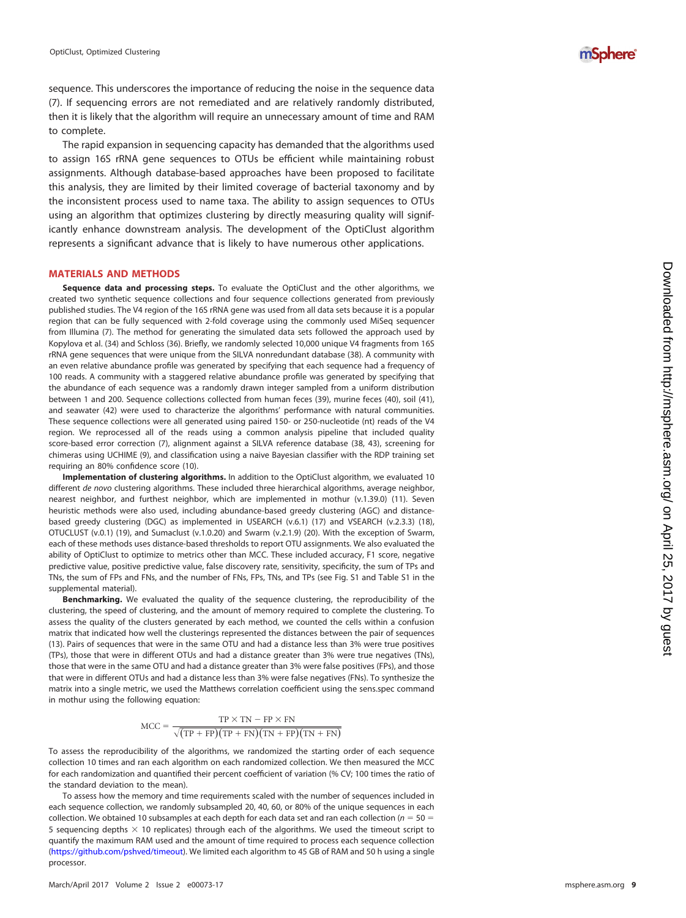sequence. This underscores the importance of reducing the noise in the sequence data [\(7\)](#page-9-6). If sequencing errors are not remediated and are relatively randomly distributed, then it is likely that the algorithm will require an unnecessary amount of time and RAM to complete.

The rapid expansion in sequencing capacity has demanded that the algorithms used to assign 16S rRNA gene sequences to OTUs be efficient while maintaining robust assignments. Although database-based approaches have been proposed to facilitate this analysis, they are limited by their limited coverage of bacterial taxonomy and by the inconsistent process used to name taxa. The ability to assign sequences to OTUs using an algorithm that optimizes clustering by directly measuring quality will significantly enhance downstream analysis. The development of the OptiClust algorithm represents a significant advance that is likely to have numerous other applications.

#### **MATERIALS AND METHODS**

**Sequence data and processing steps.** To evaluate the OptiClust and the other algorithms, we created two synthetic sequence collections and four sequence collections generated from previously published studies. The V4 region of the 16S rRNA gene was used from all data sets because it is a popular region that can be fully sequenced with 2-fold coverage using the commonly used MiSeq sequencer from Illumina ( [7\)](#page-9-6). The method for generating the simulated data sets followed the approach used by Kopylova et al. [\(34\)](#page-10-3) and Schloss [\(36\)](#page-10-5). Briefly, we randomly selected 10,000 unique V4 fragments from 16S rRNA gene sequences that were unique from the SILVA nonredundant database [\(38\)](#page-10-11). A community with an even relative abundance profile was generated by specifying that each sequence had a frequency of 100 reads. A community with a staggered relative abundance profile was generated by specifying that the abundance of each sequence was a randomly drawn integer sampled from a uniform distribution between 1 and 200. Sequence collections collected from human feces [\(39\)](#page-10-10), murine feces [\(40\)](#page-10-9), soil [\(41\)](#page-10-7), and seawater [\(42\)](#page-10-8) were used to characterize the algorithms' performance with natural communities. These sequence collections were all generated using paired 150- or 250-nucleotide (nt) reads of the V4 region. We reprocessed all of the reads using a common analysis pipeline that included quality score-based error correction ( [7\)](#page-9-6), alignment against a SILVA reference database [\(38](#page-10-11) , [43\)](#page-10-12), screening for chimeras using UCHIME ( [9\)](#page-9-7), and classification using a naive Bayesian classifier with the RDP training set requiring an 80% confidence score [\(10\)](#page-9-8).

**Implementation of clustering algorithms.** In addition to the OptiClust algorithm, we evaluated 10 different de novo clustering algorithms. These included three hierarchical algorithms, average neighbor, nearest neighbor, and furthest neighbor, which are implemented in mothur (v.1.39.0) [\(11\)](#page-9-9). Seven heuristic methods were also used, including abundance-based greedy clustering (AGC) and distancebased greedy clustering (DGC) as implemented in USEARCH (v.6.1) [\(17\)](#page-9-15) and VSEARCH (v.2.3.3) [\(18\)](#page-9-16), OTUCLUST (v.0.1) [\(19\)](#page-9-17), and Sumaclust (v.1.0.20) and Swarm (v.2.1.9) [\(20\)](#page-9-18). With the exception of Swarm, each of these methods uses distance-based thresholds to report OTU assignments. We also evaluated the ability of OptiClust to optimize to metrics other than MCC. These included accuracy, F1 score, negative predictive value, positive predictive value, false discovery rate, sensitivity, specificity, the sum of TPs and TNs, the sum of FPs and FNs, and the number of FNs, FPs, TNs, and TPs (see Fig. S1 and Table S1 in the supplemental material).

**Benchmarking.** We evaluated the quality of the sequence clustering, the reproducibility of the clustering, the speed of clustering, and the amount of memory required to complete the clustering. To assess the quality of the clusters generated by each method, we counted the cells within a confusion matrix that indicated how well the clusterings represented the distances between the pair of sequences [\(13\)](#page-9-11). Pairs of sequences that were in the same OTU and had a distance less than 3% were true positives (TPs), those that were in different OTUs and had a distance greater than 3% were true negatives (TNs), those that were in the same OTU and had a distance greater than 3% were false positives (FPs), and those that were in different OTUs and had a distance less than 3% were false negatives (FNs). To synthesize the matrix into a single metric, we used the Matthews correlation coefficient using the sens.spec command in mothur using the following equation:

$$
MCC = \frac{TP \times TN - FP \times FN}{\sqrt{(TP + FP)(TP + FN)(TN + FP)(TN + FN)}}
$$

To assess the reproducibility of the algorithms, we randomized the starting order of each sequence collection 10 times and ran each algorithm on each randomized collection. We then measured the MCC for each randomization and quantified their percent coefficient of variation (% CV; 100 times the ratio of the standard deviation to the mean).

To assess how the memory and time requirements scaled with the number of sequences included in each sequence collection, we randomly subsampled 20, 40, 60, or 80% of the unique sequences in each collection. We obtained 10 subsamples at each depth for each data set and ran each collection ( $n = 50 =$ 5 sequencing depths  $\times$  10 replicates) through each of the algorithms. We used the timeout script to quantify the maximum RAM used and the amount of time required to process each sequence collection [\(https://github.com/pshved/timeout\)](https://github.com/pshved/timeout). We limited each algorithm to 45 GB of RAM and 50 h using a single processor.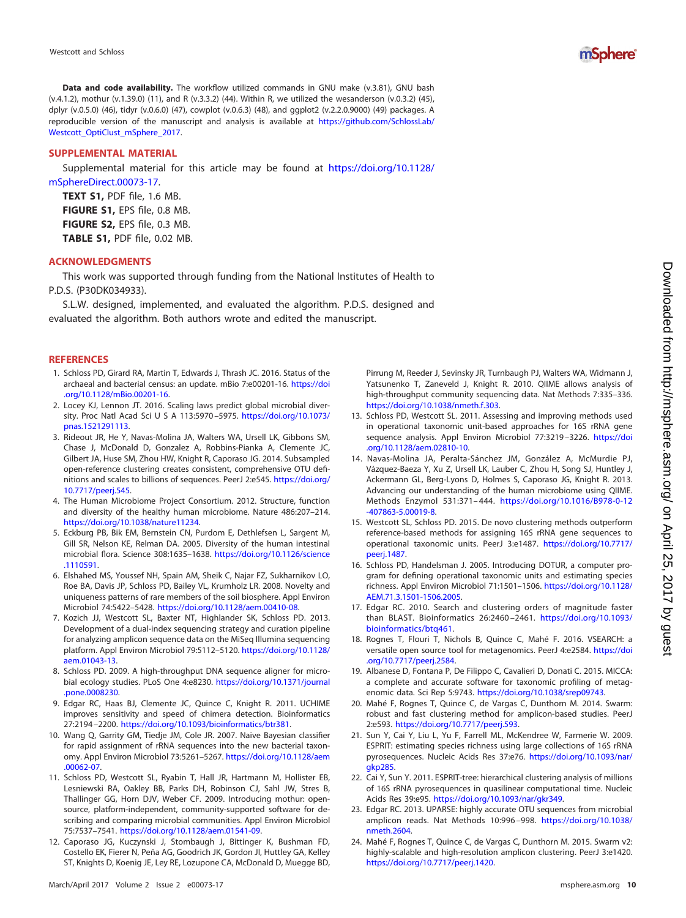

**Data and code availability.** The workflow utilized commands in GNU make (v.3.81), GNU bash (v.4.1.2), mothur (v.1.39.0) [\(11\)](#page-9-9), and R (v.3.3.2) [\(44\)](#page-10-13). Within R, we utilized the wesanderson (v.0.3.2) [\(45\)](#page-10-14), dplyr (v.0.5.0) [\(46\)](#page-10-15), tidyr (v.0.6.0) [\(47\)](#page-10-16), cowplot (v.0.6.3) [\(48\)](#page-10-17), and ggplot2 (v.2.2.0.9000) [\(49\)](#page-10-18) packages. A reproducible version of the manuscript and analysis is available at [https://github.com/SchlossLab/](https://github.com/SchlossLab/Westcott_OptiClust_mSphere_2017) [Westcott\\_OptiClust\\_mSphere\\_2017.](https://github.com/SchlossLab/Westcott_OptiClust_mSphere_2017)

### **SUPPLEMENTAL MATERIAL**

Supplemental material for this article may be found at [https://doi.org/10.1128/](https://doi.org/10.1128/mSphereDirect.00073-17) [mSphereDirect.00073-17.](https://doi.org/10.1128/mSphereDirect.00073-17)

**TEXT S1,** PDF file, 1.6 MB. **FIGURE S1,** EPS file, 0.8 MB. **FIGURE S2,** EPS file, 0.3 MB. **TABLE S1,** PDF file, 0.02 MB.

#### **ACKNOWLEDGMENTS**

This work was supported through funding from the National Institutes of Health to P.D.S. (P30DK034933).

S.L.W. designed, implemented, and evaluated the algorithm. P.D.S. designed and evaluated the algorithm. Both authors wrote and edited the manuscript.

#### <span id="page-9-0"></span>**REFERENCES**

- 1. Schloss PD, Girard RA, Martin T, Edwards J, Thrash JC. 2016. Status of the archaeal and bacterial census: an update. mBio 7:e00201-16. [https://doi](https://doi.org/10.1128/mBio.00201-16) [.org/10.1128/mBio.00201-16.](https://doi.org/10.1128/mBio.00201-16)
- <span id="page-9-1"></span>2. Locey KJ, Lennon JT. 2016. Scaling laws predict global microbial diversity. Proc Natl Acad Sci U S A 113:5970-5975. [https://doi.org/10.1073/](https://doi.org/10.1073/pnas.1521291113) [pnas.1521291113.](https://doi.org/10.1073/pnas.1521291113)
- <span id="page-9-2"></span>3. Rideout JR, He Y, Navas-Molina JA, Walters WA, Ursell LK, Gibbons SM, Chase J, McDonald D, Gonzalez A, Robbins-Pianka A, Clemente JC, Gilbert JA, Huse SM, Zhou HW, Knight R, Caporaso JG. 2014. Subsampled open-reference clustering creates consistent, comprehensive OTU definitions and scales to billions of sequences. PeerJ 2:e545. [https://doi.org/](https://doi.org/10.7717/peerj.545) [10.7717/peerj.545.](https://doi.org/10.7717/peerj.545)
- <span id="page-9-3"></span>4. The Human Microbiome Project Consortium. 2012. Structure, function and diversity of the healthy human microbiome. Nature 486:207–214. [https://doi.org/10.1038/nature11234.](https://doi.org/10.1038/nature11234)
- <span id="page-9-4"></span>5. Eckburg PB, Bik EM, Bernstein CN, Purdom E, Dethlefsen L, Sargent M, Gill SR, Nelson KE, Relman DA. 2005. Diversity of the human intestinal microbial flora. Science 308:1635–1638. [https://doi.org/10.1126/science](https://doi.org/10.1126/science.1110591) [.1110591.](https://doi.org/10.1126/science.1110591)
- <span id="page-9-5"></span>6. Elshahed MS, Youssef NH, Spain AM, Sheik C, Najar FZ, Sukharnikov LO, Roe BA, Davis JP, Schloss PD, Bailey VL, Krumholz LR. 2008. Novelty and uniqueness patterns of rare members of the soil biosphere. Appl Environ Microbiol 74:5422–5428. [https://doi.org/10.1128/aem.00410-08.](https://doi.org/10.1128/aem.00410-08)
- <span id="page-9-6"></span>7. Kozich JJ, Westcott SL, Baxter NT, Highlander SK, Schloss PD. 2013. Development of a dual-index sequencing strategy and curation pipeline for analyzing amplicon sequence data on the MiSeq Illumina sequencing platform. Appl Environ Microbiol 79:5112–5120. [https://doi.org/10.1128/](https://doi.org/10.1128/aem.01043-13) [aem.01043-13.](https://doi.org/10.1128/aem.01043-13)
- <span id="page-9-7"></span>8. Schloss PD. 2009. A high-throughput DNA sequence aligner for microbial ecology studies. PLoS One 4:e8230. [https://doi.org/10.1371/journal](https://doi.org/10.1371/journal.pone.0008230) [.pone.0008230.](https://doi.org/10.1371/journal.pone.0008230)
- 9. Edgar RC, Haas BJ, Clemente JC, Quince C, Knight R. 2011. UCHIME improves sensitivity and speed of chimera detection. Bioinformatics 27:2194 –2200. [https://doi.org/10.1093/bioinformatics/btr381.](https://doi.org/10.1093/bioinformatics/btr381)
- <span id="page-9-8"></span>10. Wang Q, Garrity GM, Tiedje JM, Cole JR. 2007. Naive Bayesian classifier for rapid assignment of rRNA sequences into the new bacterial taxonomy. Appl Environ Microbiol 73:5261–5267. [https://doi.org/10.1128/aem](https://doi.org/10.1128/aem.00062-07) [.00062-07.](https://doi.org/10.1128/aem.00062-07)
- <span id="page-9-9"></span>11. Schloss PD, Westcott SL, Ryabin T, Hall JR, Hartmann M, Hollister EB, Lesniewski RA, Oakley BB, Parks DH, Robinson CJ, Sahl JW, Stres B, Thallinger GG, Horn DJV, Weber CF. 2009. Introducing mothur: opensource, platform-independent, community-supported software for describing and comparing microbial communities. Appl Environ Microbiol 75:7537–7541. [https://doi.org/10.1128/aem.01541-09.](https://doi.org/10.1128/aem.01541-09)
- <span id="page-9-10"></span>12. Caporaso JG, Kuczynski J, Stombaugh J, Bittinger K, Bushman FD, Costello EK, Fierer N, Peña AG, Goodrich JK, Gordon JI, Huttley GA, Kelley ST, Knights D, Koenig JE, Ley RE, Lozupone CA, McDonald D, Muegge BD,

Pirrung M, Reeder J, Sevinsky JR, Turnbaugh PJ, Walters WA, Widmann J, Yatsunenko T, Zaneveld J, Knight R. 2010. QIIME allows analysis of high-throughput community sequencing data. Nat Methods 7:335–336. [https://doi.org/10.1038/nmeth.f.303.](https://doi.org/10.1038/nmeth.f.303)

- <span id="page-9-11"></span>13. Schloss PD, Westcott SL. 2011. Assessing and improving methods used in operational taxonomic unit-based approaches for 16S rRNA gene sequence analysis. Appl Environ Microbiol 77:3219 –3226. [https://doi](https://doi.org/10.1128/aem.02810-10) [.org/10.1128/aem.02810-10.](https://doi.org/10.1128/aem.02810-10)
- <span id="page-9-12"></span>14. Navas-Molina JA, Peralta-Sánchez JM, González A, McMurdie PJ, Vázquez-Baeza Y, Xu Z, Ursell LK, Lauber C, Zhou H, Song SJ, Huntley J, Ackermann GL, Berg-Lyons D, Holmes S, Caporaso JG, Knight R. 2013. Advancing our understanding of the human microbiome using QIIME. Methods Enzymol 531:371– 444. [https://doi.org/10.1016/B978-0-12](https://doi.org/10.1016/B978-0-12-407863-5.00019-8) [-407863-5.00019-8.](https://doi.org/10.1016/B978-0-12-407863-5.00019-8)
- <span id="page-9-13"></span>15. Westcott SL, Schloss PD. 2015. De novo clustering methods outperform reference-based methods for assigning 16S rRNA gene sequences to operational taxonomic units. PeerJ 3:e1487. [https://doi.org/10.7717/](https://doi.org/10.7717/peerj.1487) [peerj.1487.](https://doi.org/10.7717/peerj.1487)
- <span id="page-9-14"></span>16. Schloss PD, Handelsman J. 2005. Introducing DOTUR, a computer program for defining operational taxonomic units and estimating species richness. Appl Environ Microbiol 71:1501–1506. [https://doi.org/10.1128/](https://doi.org/10.1128/AEM.71.3.1501-1506.2005) [AEM.71.3.1501-1506.2005.](https://doi.org/10.1128/AEM.71.3.1501-1506.2005)
- <span id="page-9-15"></span>17. Edgar RC. 2010. Search and clustering orders of magnitude faster than BLAST. Bioinformatics 26:2460 –2461. [https://doi.org/10.1093/](https://doi.org/10.1093/bioinformatics/btq461) [bioinformatics/btq461.](https://doi.org/10.1093/bioinformatics/btq461)
- <span id="page-9-17"></span><span id="page-9-16"></span>18. Rognes T, Flouri T, Nichols B, Quince C, Mahé F. 2016. VSEARCH: a versatile open source tool for metagenomics. PeerJ 4:e2584. [https://doi](https://doi.org/10.7717/peerj.2584) [.org/10.7717/peerj.2584.](https://doi.org/10.7717/peerj.2584)
- <span id="page-9-18"></span>19. Albanese D, Fontana P, De Filippo C, Cavalieri D, Donati C. 2015. MICCA: a complete and accurate software for taxonomic profiling of metagenomic data. Sci Rep 5:9743. [https://doi.org/10.1038/srep09743.](https://doi.org/10.1038/srep09743)
- <span id="page-9-19"></span>20. Mahé F, Rognes T, Quince C, de Vargas C, Dunthorn M. 2014. Swarm: robust and fast clustering method for amplicon-based studies. PeerJ 2:e593. [https://doi.org/10.7717/peerj.593.](https://doi.org/10.7717/peerj.593)
- 21. Sun Y, Cai Y, Liu L, Yu F, Farrell ML, McKendree W, Farmerie W. 2009. ESPRIT: estimating species richness using large collections of 16S rRNA pyrosequences. Nucleic Acids Res 37:e76. [https://doi.org/10.1093/nar/](https://doi.org/10.1093/nar/gkp285) [gkp285.](https://doi.org/10.1093/nar/gkp285)
- <span id="page-9-21"></span><span id="page-9-20"></span>22. Cai Y, Sun Y. 2011. ESPRIT-tree: hierarchical clustering analysis of millions of 16S rRNA pyrosequences in quasilinear computational time. Nucleic Acids Res 39:e95. [https://doi.org/10.1093/nar/gkr349.](https://doi.org/10.1093/nar/gkr349)
- 23. Edgar RC. 2013. UPARSE: highly accurate OTU sequences from microbial amplicon reads. Nat Methods 10:996 –998. [https://doi.org/10.1038/](https://doi.org/10.1038/nmeth.2604) [nmeth.2604.](https://doi.org/10.1038/nmeth.2604)
- 24. Mahé F, Rognes T, Quince C, de Vargas C, Dunthorn M. 2015. Swarm v2: highly-scalable and high-resolution amplicon clustering. PeerJ 3:e1420. [https://doi.org/10.7717/peerj.1420.](https://doi.org/10.7717/peerj.1420)